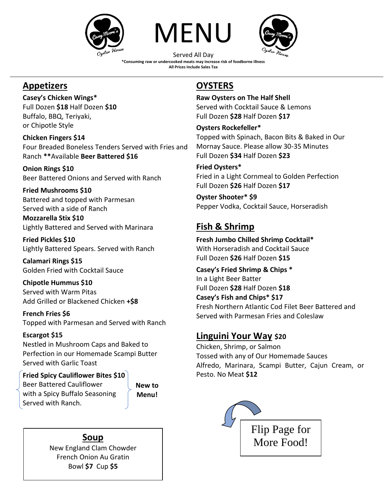





Served All Day **\*Consuming raw or undercooked meats may increase risk of foodborne illness All Prices Include Sales Tax**

## **Appetizers**

**Casey's Chicken Wings\*** 

Full Dozen **\$18** Half Dozen **\$10**  Buffalo, BBQ, Teriyaki, or Chipotle Style

**Chicken Fingers \$14** Four Breaded Boneless Tenders Served with Fries and Ranch **\*\***Available **Beer Battered \$16**

**Onion Rings \$10** Beer Battered Onions and Served with Ranch

**Fried Mushrooms \$10** Battered and topped with Parmesan Served with a side of Ranch

**Mozzarella Stix \$10** Lightly Battered and Served with Marinara

**Fried Pickles \$10** Lightly Battered Spears. Served with Ranch

**Calamari Rings \$15**  Golden Fried with Cocktail Sauce

**Chipotle Hummus \$10**  Served with Warm Pitas Add Grilled or Blackened Chicken **+\$8**

**French Fries \$6**  Topped with Parmesan and Served with Ranch

### **Escargot \$15**

Nestled in Mushroom Caps and Baked to Perfection in our Homemade Scampi Butter Served with Garlic Toast

### **Fried Spicy Cauliflower Bites \$10**

Beer Battered Cauliflower with a Spicy Buffalo Seasoning Served with Ranch.

**New to Menu!**

New England Clam Chowder French Onion Au Gratin Bowl **\$7** Cup **\$5**

## **OYSTERS**

**Raw Oysters on The Half Shell** Served with Cocktail Sauce & Lemons Full Dozen **\$28** Half Dozen **\$17**

### **Oysters Rockefeller\***

Topped with Spinach, Bacon Bits & Baked in Our Mornay Sauce. Please allow 30-35 Minutes Full Dozen **\$34** Half Dozen **\$23**

### **Fried Oysters\***

Fried in a Light Cornmeal to Golden Perfection Full Dozen **\$26** Half Dozen **\$17**

#### **Oyster Shooter\* \$9** Pepper Vodka, Cocktail Sauce, Horseradish

# **Fish & Shrimp**

**Fresh Jumbo Chilled Shrimp Cocktail\*** With Horseradish and Cocktail Sauce Full Dozen **\$26** Half Dozen **\$15** 

**Casey's Fried Shrimp & Chips \*** In a Light Beer Batter Full Dozen **\$28** Half Dozen **\$18 Casey's Fish and Chips\* \$17** Fresh Northern Atlantic Cod Filet Beer Battered and Served with Parmesan Fries and Coleslaw

## **Linguini Your Way \$20**

Chicken, Shrimp, or Salmon Tossed with any of Our Homemade Sauces Alfredo, Marinara, Scampi Butter, Cajun Cream, or Pesto. No Meat **\$12**